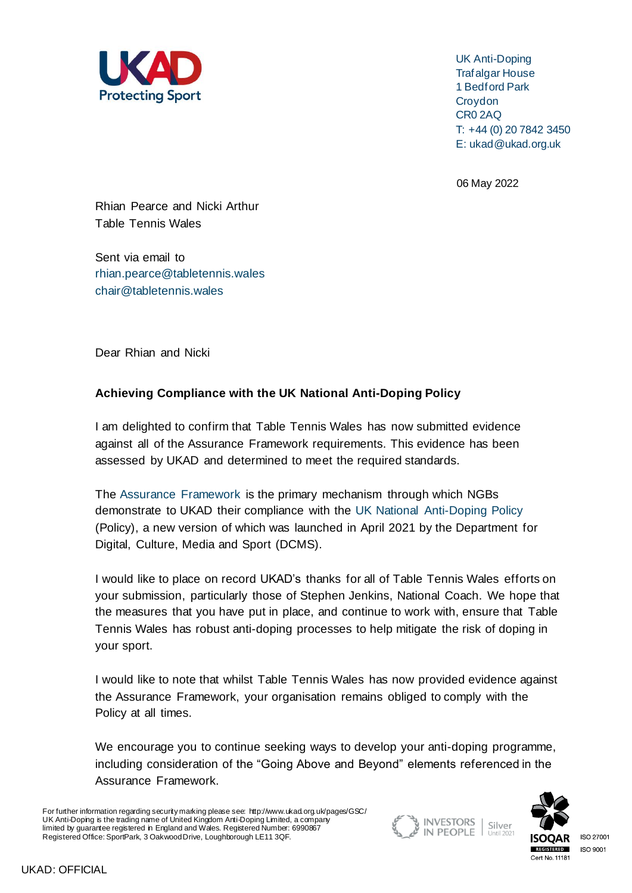

UK Anti-Doping Trafalgar House 1 Bedford Park **Croydon** CR0 2AQ T: +44 (0) 20 7842 3450 E: ukad@ukad.org.uk

06 May 2022

Rhian Pearce and Nicki Arthur Table Tennis Wales

Sent via email to [rhian.pearce@tabletennis.wales](mailto:rhian.pearce@tabletennis.wales) [chair@tabletennis.wales](mailto:chair@tabletennis.wales)

Dear Rhian and Nicki

## **Achieving Compliance with the UK National Anti-Doping Policy**

I am delighted to confirm that Table Tennis Wales has now submitted evidence against all of the Assurance Framework requirements. This evidence has been assessed by UKAD and determined to meet the required standards.

The [Assurance Framework](https://www.ukad.org.uk/national-anti-doping-policy) is the primary mechanism through which NGBs demonstrate to UKAD their compliance with the UK National [Anti-Doping Policy](https://www.gov.uk/government/consultations/national-anti-doping-policy-consultation/outcome/uk-national-anti-doping-policy-2021) (Policy), a new version of which was launched in April 2021 by the Department for Digital, Culture, Media and Sport (DCMS).

I would like to place on record UKAD's thanks for all of Table Tennis Wales efforts on your submission, particularly those of Stephen Jenkins, National Coach. We hope that the measures that you have put in place, and continue to work with, ensure that Table Tennis Wales has robust anti-doping processes to help mitigate the risk of doping in your sport.

I would like to note that whilst Table Tennis Wales has now provided evidence against the Assurance Framework, your organisation remains obliged to comply with the Policy at all times.

We encourage you to continue seeking ways to develop your anti-doping programme, including consideration of the "Going Above and Beyond" elements referenced in the Assurance Framework.

For further information regarding security marking please see: http://www.ukad.org.uk/pages/GSC/ UK Anti-Doping is the trading name of United Kingdom Anti-Doping Limited, a company limited by guarantee registered in England and Wales. Registered Number: 6990867 Registered Office: SportPark, 3 Oakwood Drive, Loughborough LE11 3QF.